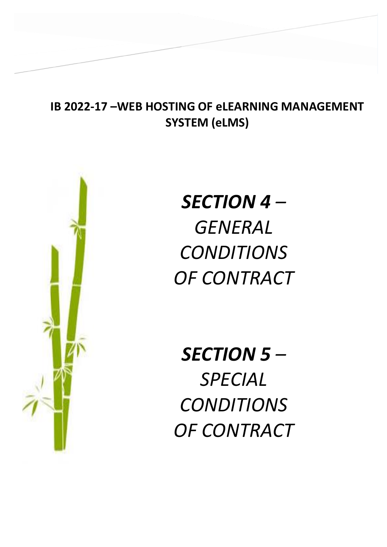# **IB 2022-17 –WEB HOSTING OF eLEARNING MANAGEMENT SYSTEM (eLMS)**

**SECTION IV – GENERAL CONDITIONS OF** 



*SECTION 4 – GENERAL CONDITIONS OF CONTRACT*

*SECTION 5 – SPECIAL CONDITIONS OF CONTRACT*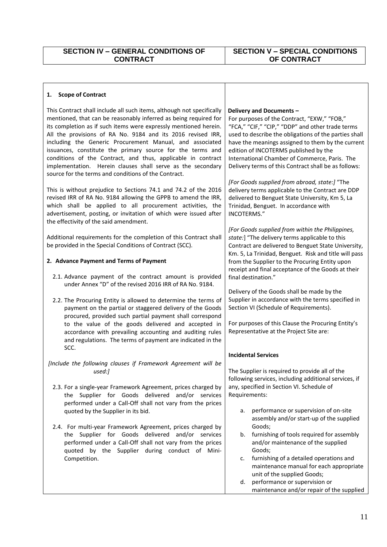## **1. Scope of Contract**

This Contract shall include all such items, although not specifically mentioned, that can be reasonably inferred as being required for its completion as if such items were expressly mentioned herein. All the provisions of RA No. 9184 and its 2016 revised IRR, including the Generic Procurement Manual, and associated issuances, constitute the primary source for the terms and conditions of the Contract, and thus, applicable in contract implementation. Herein clauses shall serve as the secondary source for the terms and conditions of the Contract.

This is without prejudice to Sections 74.1 and 74.2 of the 2016 revised IRR of RA No. 9184 allowing the GPPB to amend the IRR, which shall be applied to all procurement activities, the advertisement, posting, or invitation of which were issued after the effectivity of the said amendment.

Additional requirements for the completion of this Contract shall be provided in the Special Conditions of Contract (SCC).

### **2. Advance Payment and Terms of Payment**

- 2.1. Advance payment of the contract amount is provided under Annex "D" of the revised 2016 IRR of RA No. 9184.
- 2.2. The Procuring Entity is allowed to determine the terms of payment on the partial or staggered delivery of the Goods procured, provided such partial payment shall correspond to the value of the goods delivered and accepted in accordance with prevailing accounting and auditing rules and regulations. The terms of payment are indicated in the SCC.

*[Include the following clauses if Framework Agreement will be used:]* 

- 2.3. For a single-year Framework Agreement, prices charged by the Supplier for Goods delivered and/or services performed under a Call-Off shall not vary from the prices quoted by the Supplier in its bid.
- 2.4. For multi-year Framework Agreement, prices charged by the Supplier for Goods delivered and/or services performed under a Call-Off shall not vary from the prices quoted by the Supplier during conduct of Mini-Competition.

#### **Delivery and Documents –**

For purposes of the Contract, "EXW," "FOB," "FCA," "CIF," "CIP," "DDP" and other trade terms used to describe the obligations of the parties shall have the meanings assigned to them by the current edition of INCOTERMS published by the International Chamber of Commerce, Paris. The Delivery terms of this Contract shall be as follows:

*[For Goods supplied from abroad, state:]* "The delivery terms applicable to the Contract are DDP delivered to Benguet State University, Km 5, La Trinidad, Benguet. In accordance with INCOTERMS."

*[For Goods supplied from within the Philippines, state:*] "The delivery terms applicable to this Contract are delivered to Benguet State University, Km. 5, La Trinidad, Benguet*.* Risk and title will pass from the Supplier to the Procuring Entity upon receipt and final acceptance of the Goods at their final destination."

Delivery of the Goods shall be made by the Supplier in accordance with the terms specified in Section VI (Schedule of Requirements).

For purposes of this Clause the Procuring Entity's Representative at the Project Site are:

### **Incidental Services**

The Supplier is required to provide all of the following services, including additional services, if any, specified in Section VI. Schedule of Requirements:

- a. performance or supervision of on-site assembly and/or start-up of the supplied Goods;
- b. furnishing of tools required for assembly and/or maintenance of the supplied Goods;
- c. furnishing of a detailed operations and maintenance manual for each appropriate unit of the supplied Goods;
- d. performance or supervision or maintenance and/or repair of the supplied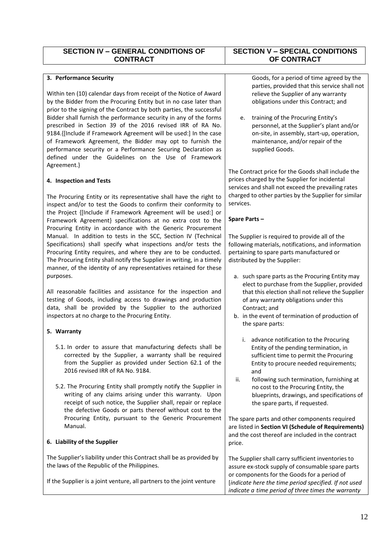# **SECTION IV – GENERAL CONDITIONS OF CONTRACT**

## **3. Performance Security**

Within ten (10) calendar days from receipt of the Notice of Award by the Bidder from the Procuring Entity but in no case later than prior to the signing of the Contract by both parties, the successful Bidder shall furnish the performance security in any of the forms prescribed in Section 39 of the 2016 revised IRR of RA No. 9184.{[Include if Framework Agreement will be used:] In the case of Framework Agreement, the Bidder may opt to furnish the performance security or a Performance Securing Declaration as defined under the Guidelines on the Use of Framework Agreement.}

## **4. Inspection and Tests**

The Procuring Entity or its representative shall have the right to inspect and/or to test the Goods to confirm their conformity to the Project {[Include if Framework Agreement will be used:] or Framework Agreement} specifications at no extra cost to the Procuring Entity in accordance with the Generic Procurement Manual. In addition to tests in the SCC, Section IV (Technical Specifications) shall specify what inspections and/or tests the Procuring Entity requires, and where they are to be conducted. The Procuring Entity shall notify the Supplier in writing, in a timely manner, of the identity of any representatives retained for these purposes.

All reasonable facilities and assistance for the inspection and testing of Goods, including access to drawings and production data, shall be provided by the Supplier to the authorized inspectors at no charge to the Procuring Entity.

## **5. Warranty**

- 5.1. In order to assure that manufacturing defects shall be corrected by the Supplier, a warranty shall be required from the Supplier as provided under Section 62.1 of the 2016 revised IRR of RA No. 9184.
- 5.2. The Procuring Entity shall promptly notify the Supplier in writing of any claims arising under this warranty. Upon receipt of such notice, the Supplier shall, repair or replace the defective Goods or parts thereof without cost to the Procuring Entity, pursuant to the Generic Procurement Manual.

## **6. Liability of the Supplier**

The Supplier's liability under this Contract shall be as provided by the laws of the Republic of the Philippines.

If the Supplier is a joint venture, all partners to the joint venture

# **SECTION V – SPECIAL CONDITIONS OF CONTRACT**

Goods, for a period of time agreed by the parties, provided that this service shall not relieve the Supplier of any warranty obligations under this Contract; and

e. training of the Procuring Entity's personnel, at the Supplier's plant and/or on-site, in assembly, start-up, operation, maintenance, and/or repair of the supplied Goods.

The Contract price for the Goods shall include the prices charged by the Supplier for incidental services and shall not exceed the prevailing rates charged to other parties by the Supplier for similar services.

## **Spare Parts –**

The Supplier is required to provide all of the following materials, notifications, and information pertaining to spare parts manufactured or distributed by the Supplier:

- a. such spare parts as the Procuring Entity may elect to purchase from the Supplier, provided that this election shall not relieve the Supplier of any warranty obligations under this Contract; and
- b. in the event of termination of production of the spare parts:
	- i. advance notification to the Procuring Entity of the pending termination, in sufficient time to permit the Procuring Entity to procure needed requirements; and
- ii. following such termination, furnishing at no cost to the Procuring Entity, the blueprints, drawings, and specifications of the spare parts, if requested.

The spare parts and other components required are listed in **Section VI (Schedule of Requirements)** and the cost thereof are included in the contract price.

The Supplier shall carry sufficient inventories to assure ex-stock supply of consumable spare parts or components for the Goods for a period of [*indicate here the time period specified. If not used indicate a time period of three times the warranty*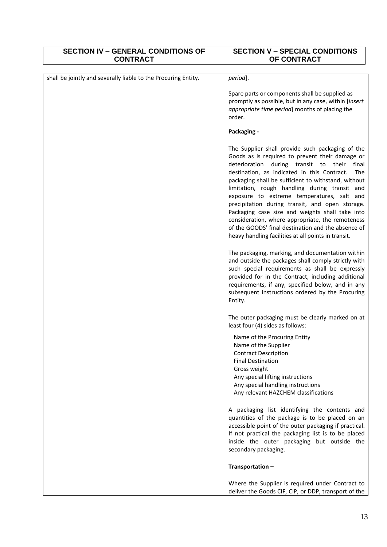| <b>SECTION IV - GENERAL CONDITIONS OF</b><br><b>CONTRACT</b>   | <b>SECTION V - SPECIAL CONDITIONS</b><br>OF CONTRACT                                                                                                                                                                                                                                                                                                                                                                                                                                                                                                                                                                                  |
|----------------------------------------------------------------|---------------------------------------------------------------------------------------------------------------------------------------------------------------------------------------------------------------------------------------------------------------------------------------------------------------------------------------------------------------------------------------------------------------------------------------------------------------------------------------------------------------------------------------------------------------------------------------------------------------------------------------|
| shall be jointly and severally liable to the Procuring Entity. | period].                                                                                                                                                                                                                                                                                                                                                                                                                                                                                                                                                                                                                              |
|                                                                | Spare parts or components shall be supplied as<br>promptly as possible, but in any case, within [insert<br>appropriate time period] months of placing the<br>order.                                                                                                                                                                                                                                                                                                                                                                                                                                                                   |
|                                                                | Packaging -                                                                                                                                                                                                                                                                                                                                                                                                                                                                                                                                                                                                                           |
|                                                                | The Supplier shall provide such packaging of the<br>Goods as is required to prevent their damage or<br>deterioration during transit to their final<br>destination, as indicated in this Contract.<br>The<br>packaging shall be sufficient to withstand, without<br>limitation, rough handling during transit and<br>exposure to extreme temperatures, salt and<br>precipitation during transit, and open storage.<br>Packaging case size and weights shall take into<br>consideration, where appropriate, the remoteness<br>of the GOODS' final destination and the absence of<br>heavy handling facilities at all points in transit. |
|                                                                | The packaging, marking, and documentation within<br>and outside the packages shall comply strictly with<br>such special requirements as shall be expressly<br>provided for in the Contract, including additional<br>requirements, if any, specified below, and in any<br>subsequent instructions ordered by the Procuring<br>Entity.                                                                                                                                                                                                                                                                                                  |
|                                                                | The outer packaging must be clearly marked on at<br>least four (4) sides as follows:                                                                                                                                                                                                                                                                                                                                                                                                                                                                                                                                                  |
|                                                                | Name of the Procuring Entity<br>Name of the Supplier<br><b>Contract Description</b><br><b>Final Destination</b><br>Gross weight<br>Any special lifting instructions<br>Any special handling instructions<br>Any relevant HAZCHEM classifications                                                                                                                                                                                                                                                                                                                                                                                      |
|                                                                | A packaging list identifying the contents and<br>quantities of the package is to be placed on an<br>accessible point of the outer packaging if practical.<br>If not practical the packaging list is to be placed<br>inside the outer packaging but outside the<br>secondary packaging.                                                                                                                                                                                                                                                                                                                                                |
|                                                                | Transportation-                                                                                                                                                                                                                                                                                                                                                                                                                                                                                                                                                                                                                       |
|                                                                | Where the Supplier is required under Contract to<br>deliver the Goods CIF, CIP, or DDP, transport of the                                                                                                                                                                                                                                                                                                                                                                                                                                                                                                                              |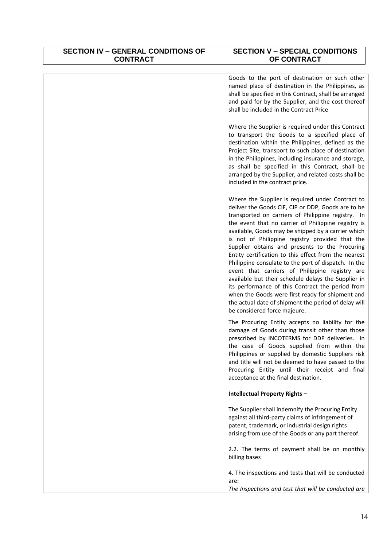| <b>SECTION IV - GENERAL CONDITIONS OF</b> | <b>SECTION V - SPECIAL CONDITIONS</b>                                                                                                                                                                                                                                                                                                                                                                                                                                                                                                                                                                                                                                                                                                                                                                   |
|-------------------------------------------|---------------------------------------------------------------------------------------------------------------------------------------------------------------------------------------------------------------------------------------------------------------------------------------------------------------------------------------------------------------------------------------------------------------------------------------------------------------------------------------------------------------------------------------------------------------------------------------------------------------------------------------------------------------------------------------------------------------------------------------------------------------------------------------------------------|
| <b>CONTRACT</b>                           | OF CONTRACT                                                                                                                                                                                                                                                                                                                                                                                                                                                                                                                                                                                                                                                                                                                                                                                             |
|                                           |                                                                                                                                                                                                                                                                                                                                                                                                                                                                                                                                                                                                                                                                                                                                                                                                         |
|                                           | Goods to the port of destination or such other<br>named place of destination in the Philippines, as<br>shall be specified in this Contract, shall be arranged<br>and paid for by the Supplier, and the cost thereof<br>shall be included in the Contract Price                                                                                                                                                                                                                                                                                                                                                                                                                                                                                                                                          |
|                                           | Where the Supplier is required under this Contract<br>to transport the Goods to a specified place of<br>destination within the Philippines, defined as the<br>Project Site, transport to such place of destination<br>in the Philippines, including insurance and storage,<br>as shall be specified in this Contract, shall be<br>arranged by the Supplier, and related costs shall be<br>included in the contract price.                                                                                                                                                                                                                                                                                                                                                                               |
|                                           | Where the Supplier is required under Contract to<br>deliver the Goods CIF, CIP or DDP, Goods are to be<br>transported on carriers of Philippine registry. In<br>the event that no carrier of Philippine registry is<br>available, Goods may be shipped by a carrier which<br>is not of Philippine registry provided that the<br>Supplier obtains and presents to the Procuring<br>Entity certification to this effect from the nearest<br>Philippine consulate to the port of dispatch. In the<br>event that carriers of Philippine registry are<br>available but their schedule delays the Supplier in<br>its performance of this Contract the period from<br>when the Goods were first ready for shipment and<br>the actual date of shipment the period of delay will<br>be considered force majeure. |
|                                           | The Procuring Entity accepts no liability for the<br>damage of Goods during transit other than those<br>prescribed by INCOTERMS for DDP deliveries. In<br>the case of Goods supplied from within the<br>Philippines or supplied by domestic Suppliers risk<br>and title will not be deemed to have passed to the<br>Procuring Entity until their receipt and final<br>acceptance at the final destination.                                                                                                                                                                                                                                                                                                                                                                                              |
|                                           | Intellectual Property Rights -                                                                                                                                                                                                                                                                                                                                                                                                                                                                                                                                                                                                                                                                                                                                                                          |
|                                           | The Supplier shall indemnify the Procuring Entity<br>against all third-party claims of infringement of<br>patent, trademark, or industrial design rights<br>arising from use of the Goods or any part thereof.                                                                                                                                                                                                                                                                                                                                                                                                                                                                                                                                                                                          |
|                                           | 2.2. The terms of payment shall be on monthly<br>billing bases                                                                                                                                                                                                                                                                                                                                                                                                                                                                                                                                                                                                                                                                                                                                          |
|                                           | 4. The inspections and tests that will be conducted<br>are:<br>The Inspections and test that will be conducted are                                                                                                                                                                                                                                                                                                                                                                                                                                                                                                                                                                                                                                                                                      |